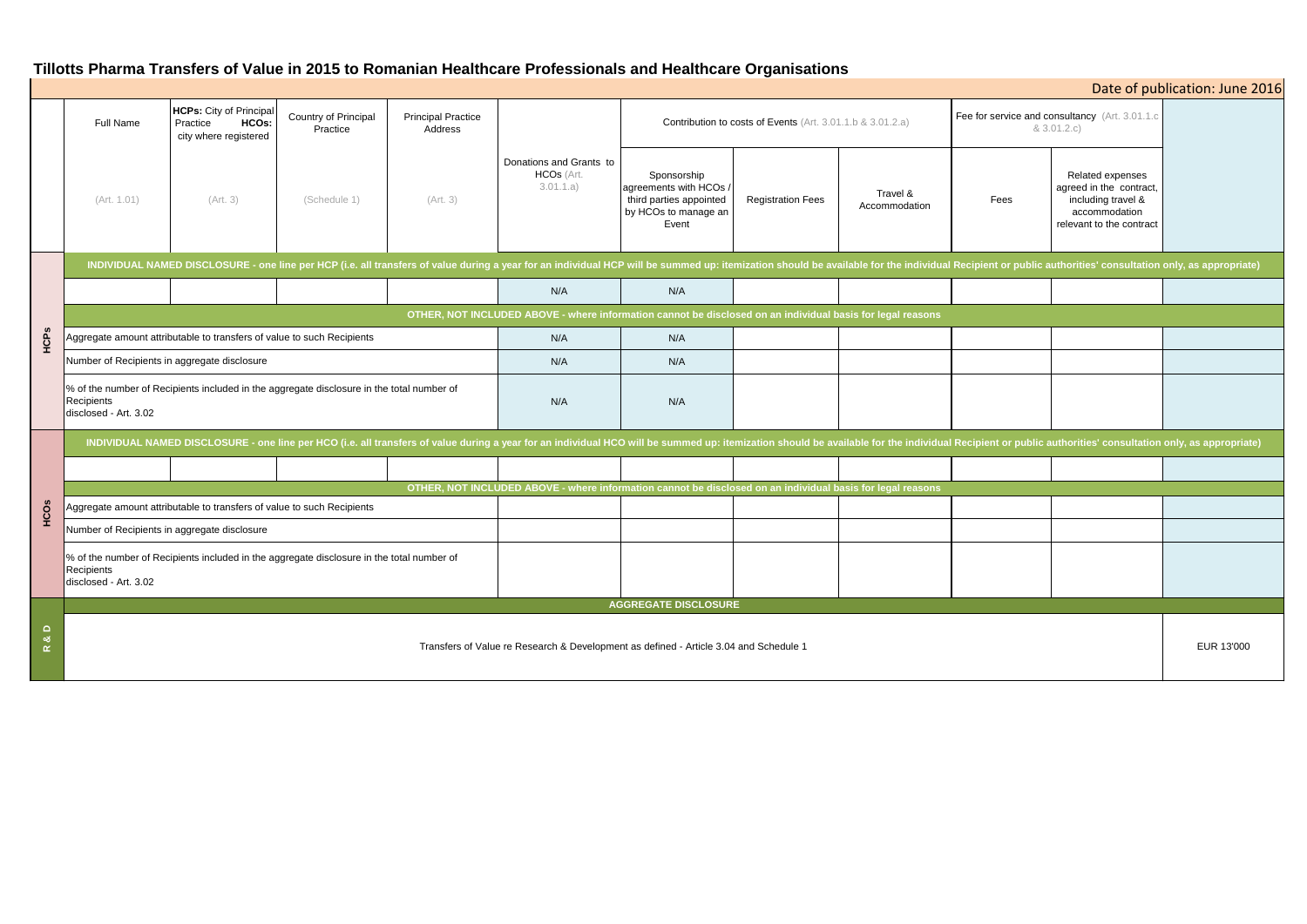# **Tillotts Pharma Transfers of Value in 2015 to Romanian Healthcare Professionals and Healthcare Organisations**

|                                      |                                                                                                                                                                                                                                |                                                                              |                                  |                                      |                                                    | $\sim$ 0.1 T and 0.1 as the the internal commutation of the issued change with the minimum $\sim$ 0.1 |                          |                           |                                                               |                                                                                                                | Date of publication: June 2016 |
|--------------------------------------|--------------------------------------------------------------------------------------------------------------------------------------------------------------------------------------------------------------------------------|------------------------------------------------------------------------------|----------------------------------|--------------------------------------|----------------------------------------------------|-------------------------------------------------------------------------------------------------------|--------------------------|---------------------------|---------------------------------------------------------------|----------------------------------------------------------------------------------------------------------------|--------------------------------|
|                                      | Full Name                                                                                                                                                                                                                      | <b>HCPs:</b> City of Principal<br>HCOs:<br>Practice<br>city where registered | Country of Principal<br>Practice | <b>Principal Practice</b><br>Address |                                                    | Contribution to costs of Events (Art. 3.01.1.b & 3.01.2.a)                                            |                          |                           | Fee for service and consultancy (Art. 3.01.1.c<br>& 3.01.2.c) |                                                                                                                |                                |
|                                      | (Art. 1.01)                                                                                                                                                                                                                    | (Art. 3)                                                                     | (Schedule 1)                     | (Art. 3)                             | Donations and Grants to<br>HCOs (Art.<br>3.01.1.a) | Sponsorship<br>agreements with HCOs /<br>third parties appointed<br>by HCOs to manage an<br>Event     | <b>Registration Fees</b> | Travel &<br>Accommodation | Fees                                                          | Related expenses<br>agreed in the contract,<br>including travel &<br>accommodation<br>relevant to the contract |                                |
| HCPs                                 | INDIVIDUAL NAMED DISCLOSURE - one line per HCP (i.e. all transfers of value during a year for an individual HCP will be summed up: itemization should be available for the individual Recipient or public authorities' consult |                                                                              |                                  |                                      |                                                    |                                                                                                       |                          |                           |                                                               |                                                                                                                |                                |
|                                      |                                                                                                                                                                                                                                |                                                                              |                                  |                                      | N/A                                                | N/A                                                                                                   |                          |                           |                                                               |                                                                                                                |                                |
|                                      | OTHER, NOT INCLUDED ABOVE - where information cannot be disclosed on an individual basis for legal reasons                                                                                                                     |                                                                              |                                  |                                      |                                                    |                                                                                                       |                          |                           |                                                               |                                                                                                                |                                |
|                                      | Aggregate amount attributable to transfers of value to such Recipients                                                                                                                                                         |                                                                              |                                  |                                      | N/A                                                | N/A                                                                                                   |                          |                           |                                                               |                                                                                                                |                                |
|                                      | Number of Recipients in aggregate disclosure                                                                                                                                                                                   |                                                                              |                                  |                                      | N/A                                                | N/A                                                                                                   |                          |                           |                                                               |                                                                                                                |                                |
|                                      | % of the number of Recipients included in the aggregate disclosure in the total number of<br>Recipients<br>disclosed - Art. 3.02                                                                                               |                                                                              |                                  |                                      | N/A                                                | N/A                                                                                                   |                          |                           |                                                               |                                                                                                                |                                |
| HCOS                                 | INDIVIDUAL NAMED DISCLOSURE - one line per HCO (i.e. all transfers of value during a year for an individual HCO will be summed up: itemization should be available for the individual Recipient or public authorities' consult |                                                                              |                                  |                                      |                                                    |                                                                                                       |                          |                           |                                                               |                                                                                                                |                                |
|                                      |                                                                                                                                                                                                                                |                                                                              |                                  |                                      |                                                    |                                                                                                       |                          |                           |                                                               |                                                                                                                |                                |
|                                      | OTHER, NOT INCLUDED ABOVE - where information cannot be disclosed on an individual basis for legal reasons                                                                                                                     |                                                                              |                                  |                                      |                                                    |                                                                                                       |                          |                           |                                                               |                                                                                                                |                                |
|                                      | Aggregate amount attributable to transfers of value to such Recipients                                                                                                                                                         |                                                                              |                                  |                                      |                                                    |                                                                                                       |                          |                           |                                                               |                                                                                                                |                                |
|                                      | Number of Recipients in aggregate disclosure                                                                                                                                                                                   |                                                                              |                                  |                                      |                                                    |                                                                                                       |                          |                           |                                                               |                                                                                                                |                                |
|                                      | % of the number of Recipients included in the aggregate disclosure in the total number of<br>Recipients<br>disclosed - Art. 3.02                                                                                               |                                                                              |                                  |                                      |                                                    |                                                                                                       |                          |                           |                                                               |                                                                                                                |                                |
|                                      | <b>AGGREGATE DISCLOSURE</b>                                                                                                                                                                                                    |                                                                              |                                  |                                      |                                                    |                                                                                                       |                          |                           |                                                               |                                                                                                                |                                |
| $\alpha$<br>$\underline{\mathsf{c}}$ | Transfers of Value re Research & Development as defined - Article 3.04 and Schedule 1                                                                                                                                          |                                                                              |                                  |                                      |                                                    |                                                                                                       |                          |                           |                                                               |                                                                                                                | EUR 13'000                     |